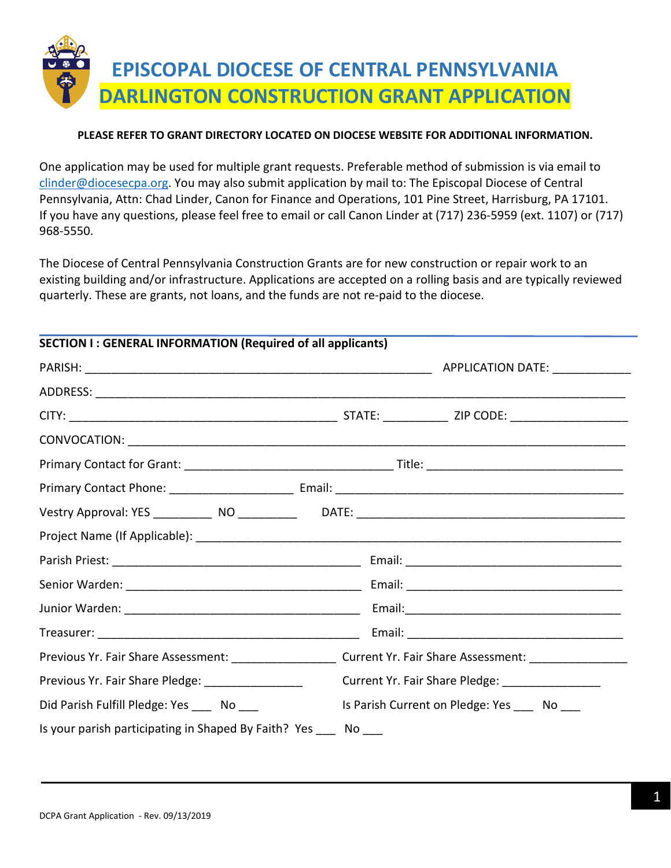

### **PLEASE REFER TO GRANT DIRECTORY LOCATED ON DIOCESE WEBSITE FOR ADDITIONAL INFORMATION.**

One application may be used for multiple grant requests. Preferable method of submission is via email to [clinder@diocesecpa.org.](mailto:clinder@diocesecpa.org) You may also submit application by mail to: The Episcopal Diocese of Central Pennsylvania, Attn: Chad Linder, Canon for Finance and Operations, 101 Pine Street, Harrisburg, PA 17101. If you have any questions, please feel free to email or call Canon Linder at (717) 236-5959 (ext. 1107) or (717) 968-5550.

The Diocese of Central Pennsylvania Construction Grants are for new construction or repair work to an existing building and/or infrastructure. Applications are accepted on a rolling basis and are typically reviewed quarterly. These are grants, not loans, and the funds are not re-paid to the diocese.

| <b>SECTION I: GENERAL INFORMATION (Required of all applicants)</b> |                                                                                                                |  |  |  |
|--------------------------------------------------------------------|----------------------------------------------------------------------------------------------------------------|--|--|--|
|                                                                    |                                                                                                                |  |  |  |
|                                                                    |                                                                                                                |  |  |  |
|                                                                    |                                                                                                                |  |  |  |
|                                                                    |                                                                                                                |  |  |  |
|                                                                    |                                                                                                                |  |  |  |
|                                                                    |                                                                                                                |  |  |  |
|                                                                    |                                                                                                                |  |  |  |
|                                                                    |                                                                                                                |  |  |  |
|                                                                    |                                                                                                                |  |  |  |
|                                                                    |                                                                                                                |  |  |  |
|                                                                    |                                                                                                                |  |  |  |
|                                                                    |                                                                                                                |  |  |  |
|                                                                    | Previous Yr. Fair Share Assessment: ________________________ Current Yr. Fair Share Assessment: ______________ |  |  |  |
| Previous Yr. Fair Share Pledge: _________________                  | Current Yr. Fair Share Pledge: __________________                                                              |  |  |  |
| Did Parish Fulfill Pledge: Yes _____ No ____                       | Is Parish Current on Pledge: Yes _____ No ____                                                                 |  |  |  |
| Is your parish participating in Shaped By Faith? Yes No            |                                                                                                                |  |  |  |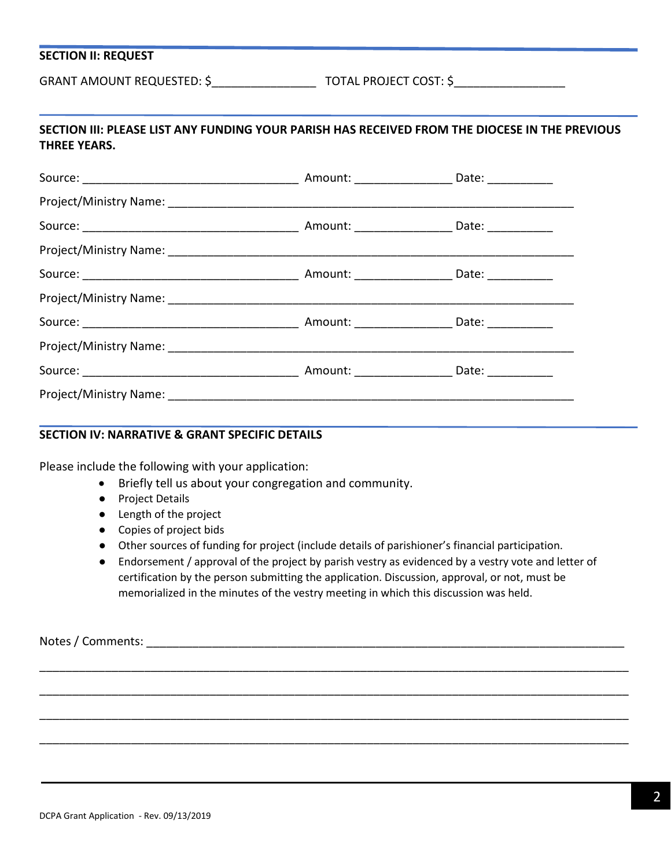### **SECTION II: REQUEST**

GRANT AMOUNT REQUESTED: \$ TOTAL PROJECT COST: \$

# **SECTION III: PLEASE LIST ANY FUNDING YOUR PARISH HAS RECEIVED FROM THE DIOCESE IN THE PREVIOUS THREE YEARS.**

#### **SECTION IV: NARRATIVE & GRANT SPECIFIC DETAILS**

Please include the following with your application:

- Briefly tell us about your congregation and community.
- Project Details
- Length of the project
- Copies of project bids
- Other sources of funding for project (include details of parishioner's financial participation.

\_\_\_\_\_\_\_\_\_\_\_\_\_\_\_\_\_\_\_\_\_\_\_\_\_\_\_\_\_\_\_\_\_\_\_\_\_\_\_\_\_\_\_\_\_\_\_\_\_\_\_\_\_\_\_\_\_\_\_\_\_\_\_\_\_\_\_\_\_\_\_\_\_\_\_\_\_\_\_\_\_\_\_\_\_\_\_\_\_\_

\_\_\_\_\_\_\_\_\_\_\_\_\_\_\_\_\_\_\_\_\_\_\_\_\_\_\_\_\_\_\_\_\_\_\_\_\_\_\_\_\_\_\_\_\_\_\_\_\_\_\_\_\_\_\_\_\_\_\_\_\_\_\_\_\_\_\_\_\_\_\_\_\_\_\_\_\_\_\_\_\_\_\_\_\_\_\_\_\_\_

\_\_\_\_\_\_\_\_\_\_\_\_\_\_\_\_\_\_\_\_\_\_\_\_\_\_\_\_\_\_\_\_\_\_\_\_\_\_\_\_\_\_\_\_\_\_\_\_\_\_\_\_\_\_\_\_\_\_\_\_\_\_\_\_\_\_\_\_\_\_\_\_\_\_\_\_\_\_\_\_\_\_\_\_\_\_\_\_\_\_

\_\_\_\_\_\_\_\_\_\_\_\_\_\_\_\_\_\_\_\_\_\_\_\_\_\_\_\_\_\_\_\_\_\_\_\_\_\_\_\_\_\_\_\_\_\_\_\_\_\_\_\_\_\_\_\_\_\_\_\_\_\_\_\_\_\_\_\_\_\_\_\_\_\_\_\_\_\_\_\_\_\_\_\_\_\_\_\_\_\_

● Endorsement / approval of the project by parish vestry as evidenced by a vestry vote and letter of certification by the person submitting the application. Discussion, approval, or not, must be memorialized in the minutes of the vestry meeting in which this discussion was held.

Notes / Comments: \_\_\_\_\_\_\_\_\_\_\_\_\_\_\_\_\_\_\_\_\_\_\_\_\_\_\_\_\_\_\_\_\_\_\_\_\_\_\_\_\_\_\_\_\_\_\_\_\_\_\_\_\_\_\_\_\_\_\_\_\_\_\_\_\_\_\_\_\_\_\_\_\_